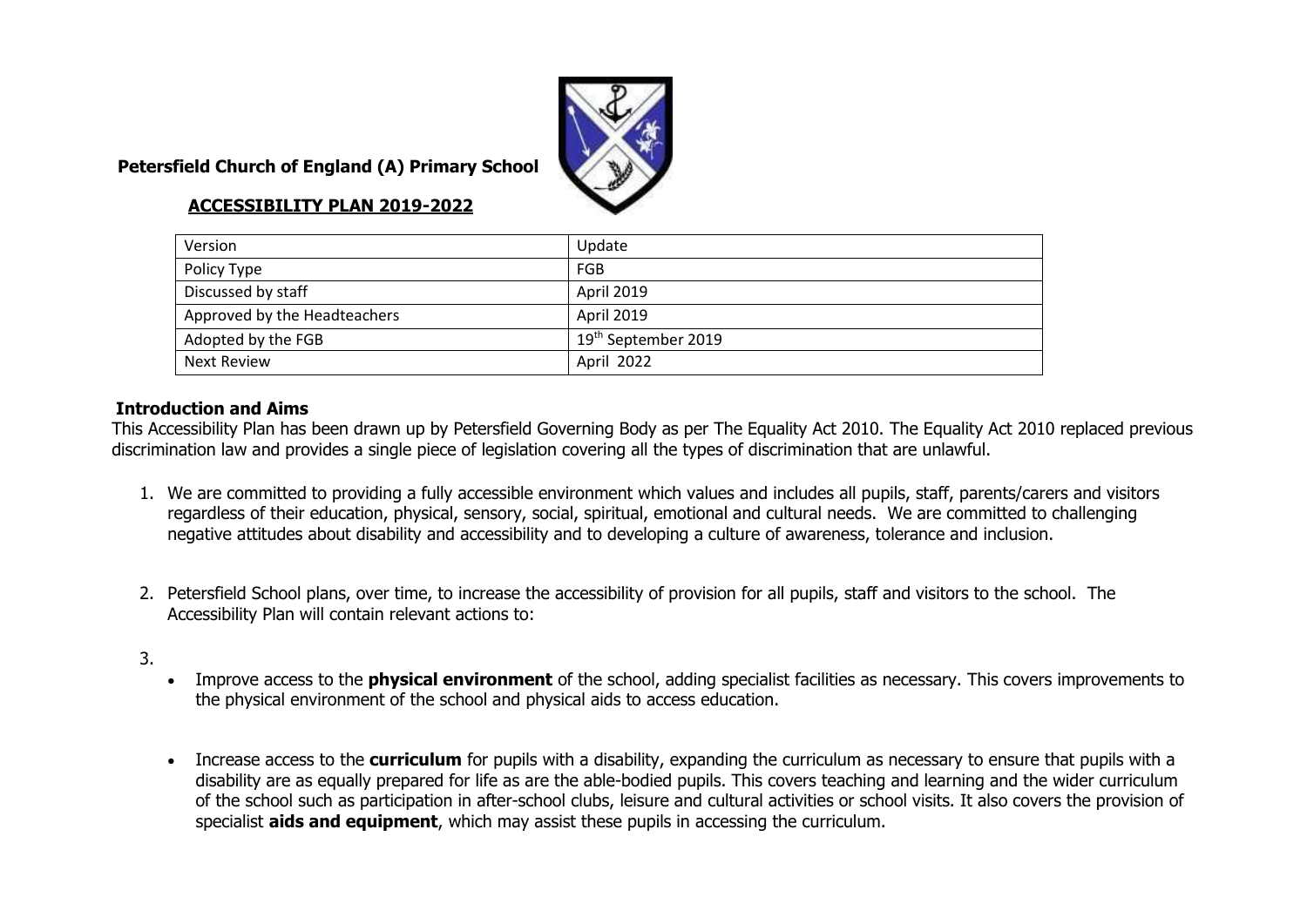

### **Petersfield Church of England (A) Primary School**

#### **ACCESSIBILITY PLAN 2019-2022**

| Version                      | Update                          |
|------------------------------|---------------------------------|
| Policy Type                  | FGB                             |
| Discussed by staff           | <b>April 2019</b>               |
| Approved by the Headteachers | April 2019                      |
| Adopted by the FGB           | 19 <sup>th</sup> September 2019 |
| <b>Next Review</b>           | April 2022                      |

#### **Introduction and Aims**

This Accessibility Plan has been drawn up by Petersfield Governing Body as per The Equality Act 2010. The Equality Act 2010 replaced previous discrimination law and provides a single piece of legislation covering all the types of discrimination that are unlawful.

- 1. We are committed to providing a fully accessible environment which values and includes all pupils, staff, parents/carers and visitors regardless of their education, physical, sensory, social, spiritual, emotional and cultural needs. We are committed to challenging negative attitudes about disability and accessibility and to developing a culture of awareness, tolerance and inclusion.
- 2. Petersfield School plans, over time, to increase the accessibility of provision for all pupils, staff and visitors to the school. The Accessibility Plan will contain relevant actions to:
- 3.
- Improve access to the **physical environment** of the school, adding specialist facilities as necessary. This covers improvements to the physical environment of the school and physical aids to access education.
- Increase access to the **curriculum** for pupils with a disability, expanding the curriculum as necessary to ensure that pupils with a disability are as equally prepared for life as are the able-bodied pupils. This covers teaching and learning and the wider curriculum of the school such as participation in after-school clubs, leisure and cultural activities or school visits. It also covers the provision of specialist **aids and equipment**, which may assist these pupils in accessing the curriculum.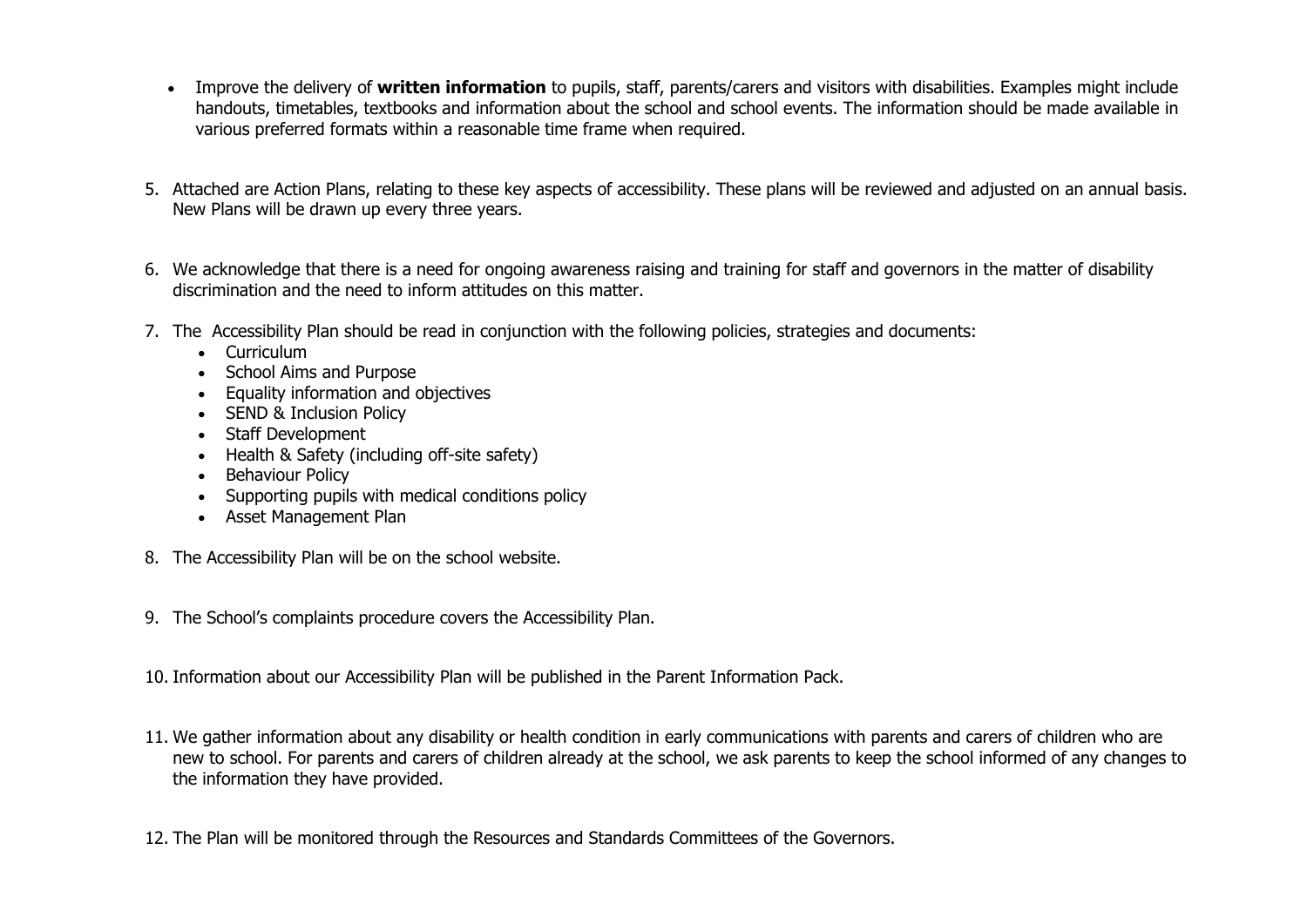- Improve the delivery of **written information** to pupils, staff, parents/carers and visitors with disabilities. Examples might include handouts, timetables, textbooks and information about the school and school events. The information should be made available in various preferred formats within a reasonable time frame when required.
- 5. Attached are Action Plans, relating to these key aspects of accessibility. These plans will be reviewed and adjusted on an annual basis. New Plans will be drawn up every three years.
- 6. We acknowledge that there is a need for ongoing awareness raising and training for staff and governors in the matter of disability discrimination and the need to inform attitudes on this matter.
- 7. The Accessibility Plan should be read in conjunction with the following policies, strategies and documents:
	- Curriculum
	- School Aims and Purpose
	- Equality information and objectives
	- SEND & Inclusion Policy
	- Staff Development
	- Health & Safety (including off-site safety)
	- Behaviour Policy
	- Supporting pupils with medical conditions policy
	- Asset Management Plan
- 8. The Accessibility Plan will be on the school website.
- 9. The School's complaints procedure covers the Accessibility Plan.

10. Information about our Accessibility Plan will be published in the Parent Information Pack.

- 11. We gather information about any disability or health condition in early communications with parents and carers of children who are new to school. For parents and carers of children already at the school, we ask parents to keep the school informed of any changes to the information they have provided.
- 12. The Plan will be monitored through the Resources and Standards Committees of the Governors.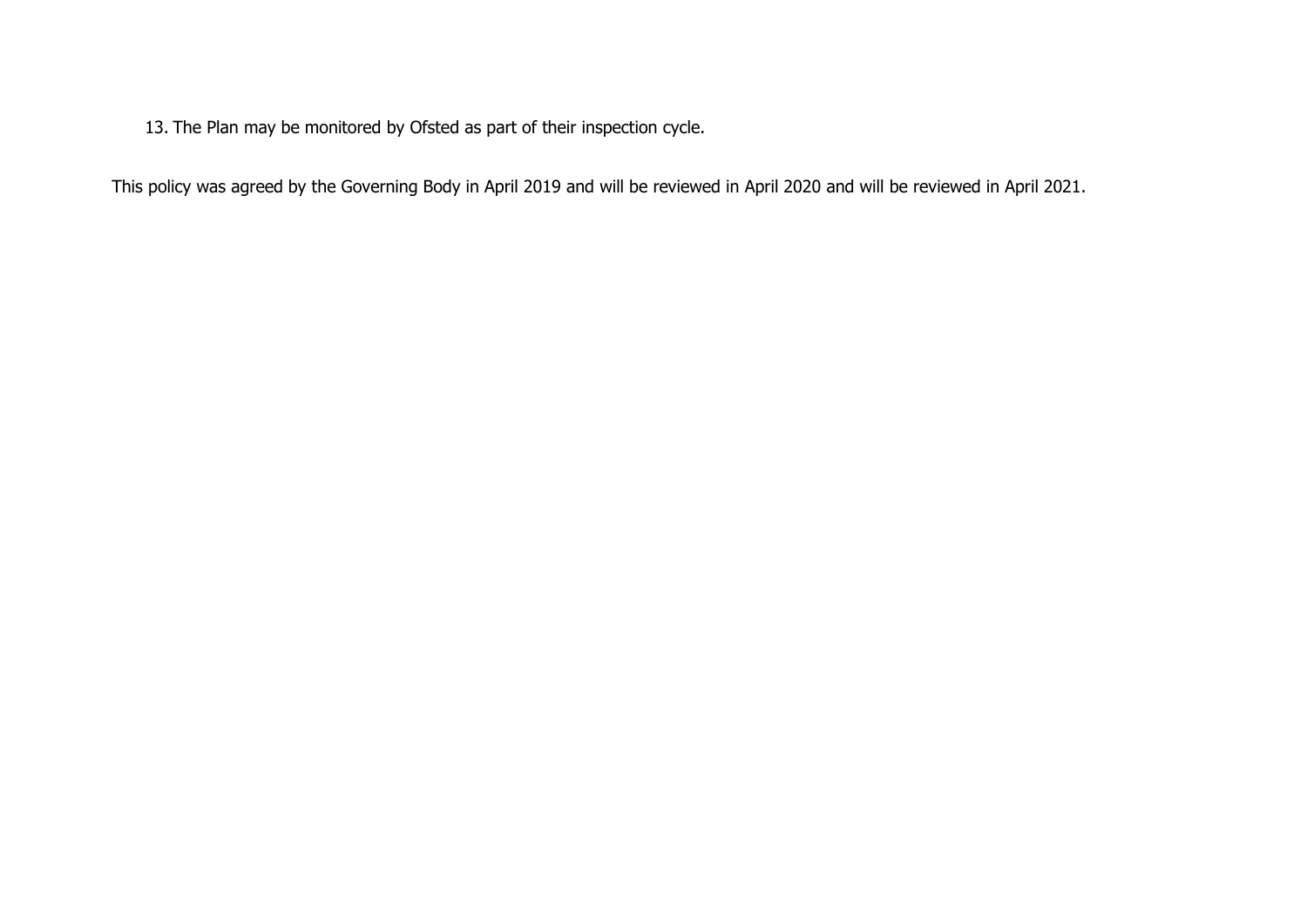13. The Plan may be monitored by Ofsted as part of their inspection cycle.

This policy was agreed by the Governing Body in April 2019 and will be reviewed in April 2020 and will be reviewed in April 2021.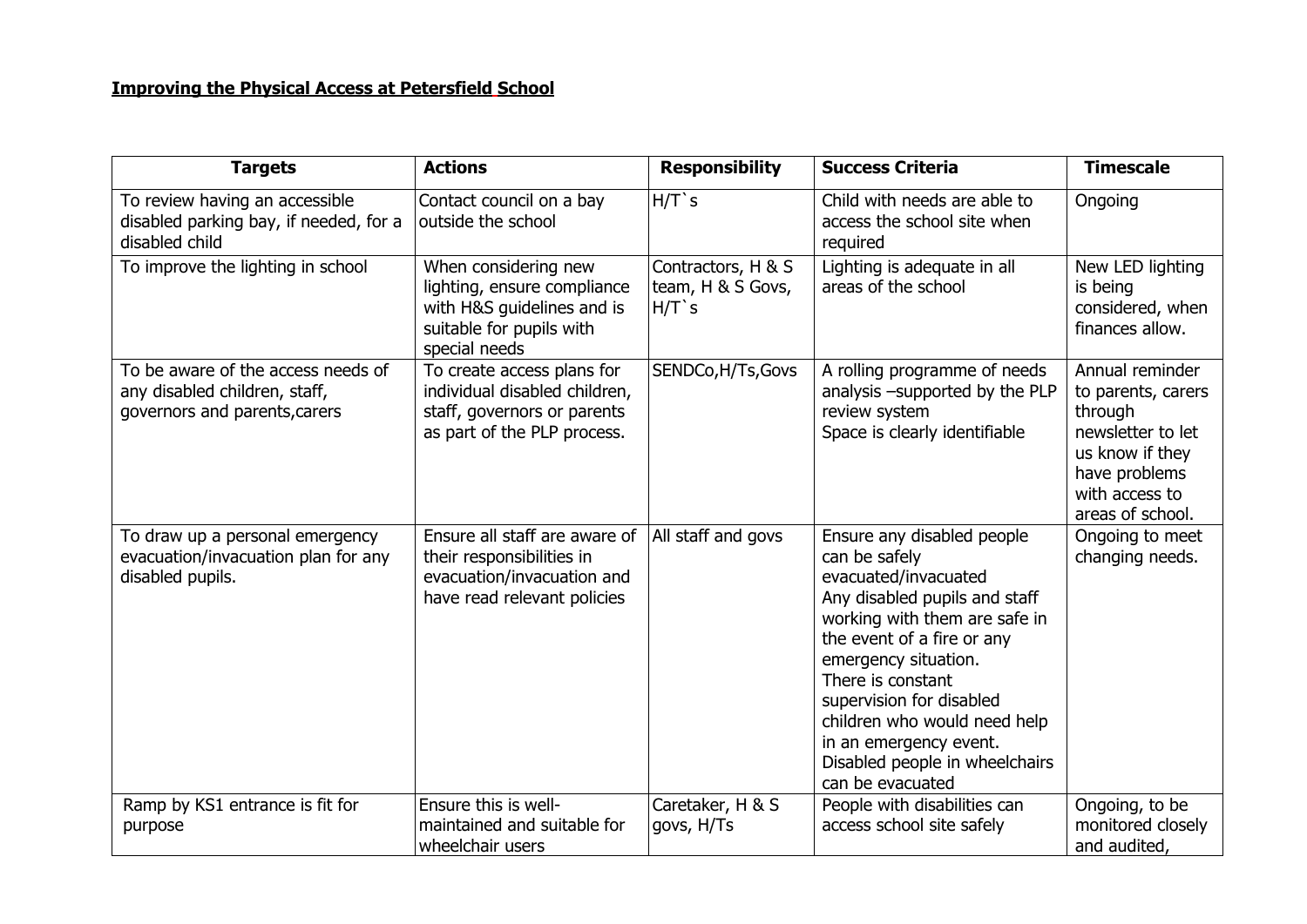## **Improving the Physical Access at Petersfield School**

| <b>Targets</b>                                                                                       | <b>Actions</b>                                                                                                                 | <b>Responsibility</b>                               | <b>Success Criteria</b>                                                                                                                                                                                                                                                                                                                                      | <b>Timescale</b>                                                                                                                                |
|------------------------------------------------------------------------------------------------------|--------------------------------------------------------------------------------------------------------------------------------|-----------------------------------------------------|--------------------------------------------------------------------------------------------------------------------------------------------------------------------------------------------------------------------------------------------------------------------------------------------------------------------------------------------------------------|-------------------------------------------------------------------------------------------------------------------------------------------------|
| To review having an accessible<br>disabled parking bay, if needed, for a<br>disabled child           | Contact council on a bay<br>outside the school                                                                                 | $H/T$ `s                                            | Child with needs are able to<br>access the school site when<br>required                                                                                                                                                                                                                                                                                      | Ongoing                                                                                                                                         |
| To improve the lighting in school                                                                    | When considering new<br>lighting, ensure compliance<br>with H&S quidelines and is<br>suitable for pupils with<br>special needs | Contractors, H & S<br>team, H & S Govs,<br>$H/T$ `s | Lighting is adequate in all<br>areas of the school                                                                                                                                                                                                                                                                                                           | New LED lighting<br>is being<br>considered, when<br>finances allow.                                                                             |
| To be aware of the access needs of<br>any disabled children, staff,<br>governors and parents, carers | To create access plans for<br>individual disabled children,<br>staff, governors or parents<br>as part of the PLP process.      | SENDCo, H/Ts, Govs                                  | A rolling programme of needs<br>analysis -supported by the PLP<br>review system<br>Space is clearly identifiable                                                                                                                                                                                                                                             | Annual reminder<br>to parents, carers<br>through<br>newsletter to let<br>us know if they<br>have problems<br>with access to<br>areas of school. |
| To draw up a personal emergency<br>evacuation/invacuation plan for any<br>disabled pupils.           | Ensure all staff are aware of<br>their responsibilities in<br>evacuation/invacuation and<br>have read relevant policies        | All staff and govs                                  | Ensure any disabled people<br>can be safely<br>evacuated/invacuated<br>Any disabled pupils and staff<br>working with them are safe in<br>the event of a fire or any<br>emergency situation.<br>There is constant<br>supervision for disabled<br>children who would need help<br>in an emergency event.<br>Disabled people in wheelchairs<br>can be evacuated | Ongoing to meet<br>changing needs.                                                                                                              |
| Ramp by KS1 entrance is fit for<br>purpose                                                           | Ensure this is well-<br>maintained and suitable for<br>wheelchair users                                                        | Caretaker, H & S<br>govs, H/Ts                      | People with disabilities can<br>access school site safely                                                                                                                                                                                                                                                                                                    | Ongoing, to be<br>monitored closely<br>and audited,                                                                                             |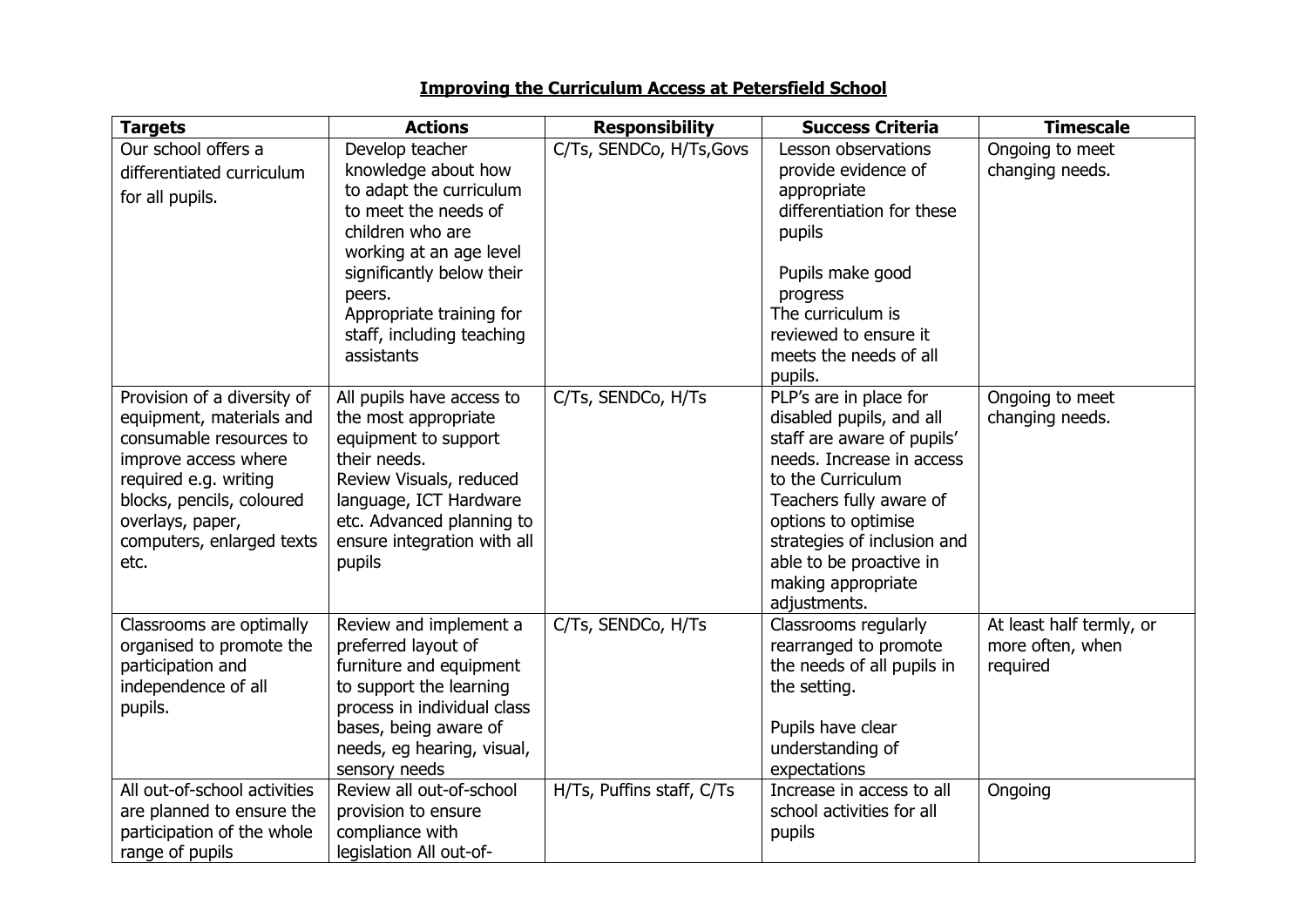## **Improving the Curriculum Access at Petersfield School**

| <b>Targets</b>                                                                                                                                                                                                            | <b>Actions</b>                                                                                                                                                                                                                                         | <b>Responsibility</b>     | <b>Success Criteria</b>                                                                                                                                                                                                                                                              | <b>Timescale</b>                                         |
|---------------------------------------------------------------------------------------------------------------------------------------------------------------------------------------------------------------------------|--------------------------------------------------------------------------------------------------------------------------------------------------------------------------------------------------------------------------------------------------------|---------------------------|--------------------------------------------------------------------------------------------------------------------------------------------------------------------------------------------------------------------------------------------------------------------------------------|----------------------------------------------------------|
| Our school offers a<br>differentiated curriculum<br>for all pupils.                                                                                                                                                       | Develop teacher<br>knowledge about how<br>to adapt the curriculum<br>to meet the needs of<br>children who are<br>working at an age level<br>significantly below their<br>peers.<br>Appropriate training for<br>staff, including teaching<br>assistants | C/Ts, SENDCo, H/Ts, Govs  | Lesson observations<br>provide evidence of<br>appropriate<br>differentiation for these<br>pupils<br>Pupils make good<br>progress<br>The curriculum is<br>reviewed to ensure it<br>meets the needs of all<br>pupils.                                                                  | Ongoing to meet<br>changing needs.                       |
| Provision of a diversity of<br>equipment, materials and<br>consumable resources to<br>improve access where<br>required e.g. writing<br>blocks, pencils, coloured<br>overlays, paper,<br>computers, enlarged texts<br>etc. | All pupils have access to<br>the most appropriate<br>equipment to support<br>their needs.<br>Review Visuals, reduced<br>language, ICT Hardware<br>etc. Advanced planning to<br>ensure integration with all<br>pupils                                   | C/Ts, SENDCo, H/Ts        | PLP's are in place for<br>disabled pupils, and all<br>staff are aware of pupils'<br>needs. Increase in access<br>to the Curriculum<br>Teachers fully aware of<br>options to optimise<br>strategies of inclusion and<br>able to be proactive in<br>making appropriate<br>adjustments. | Ongoing to meet<br>changing needs.                       |
| Classrooms are optimally<br>organised to promote the<br>participation and<br>independence of all<br>pupils.                                                                                                               | Review and implement a<br>preferred layout of<br>furniture and equipment<br>to support the learning<br>process in individual class<br>bases, being aware of<br>needs, eg hearing, visual,<br>sensory needs                                             | C/Ts, SENDCo, H/Ts        | Classrooms regularly<br>rearranged to promote<br>the needs of all pupils in<br>the setting.<br>Pupils have clear<br>understanding of<br>expectations                                                                                                                                 | At least half termly, or<br>more often, when<br>required |
| All out-of-school activities<br>are planned to ensure the<br>participation of the whole<br>range of pupils                                                                                                                | Review all out-of-school<br>provision to ensure<br>compliance with<br>legislation All out-of-                                                                                                                                                          | H/Ts, Puffins staff, C/Ts | Increase in access to all<br>school activities for all<br>pupils                                                                                                                                                                                                                     | Ongoing                                                  |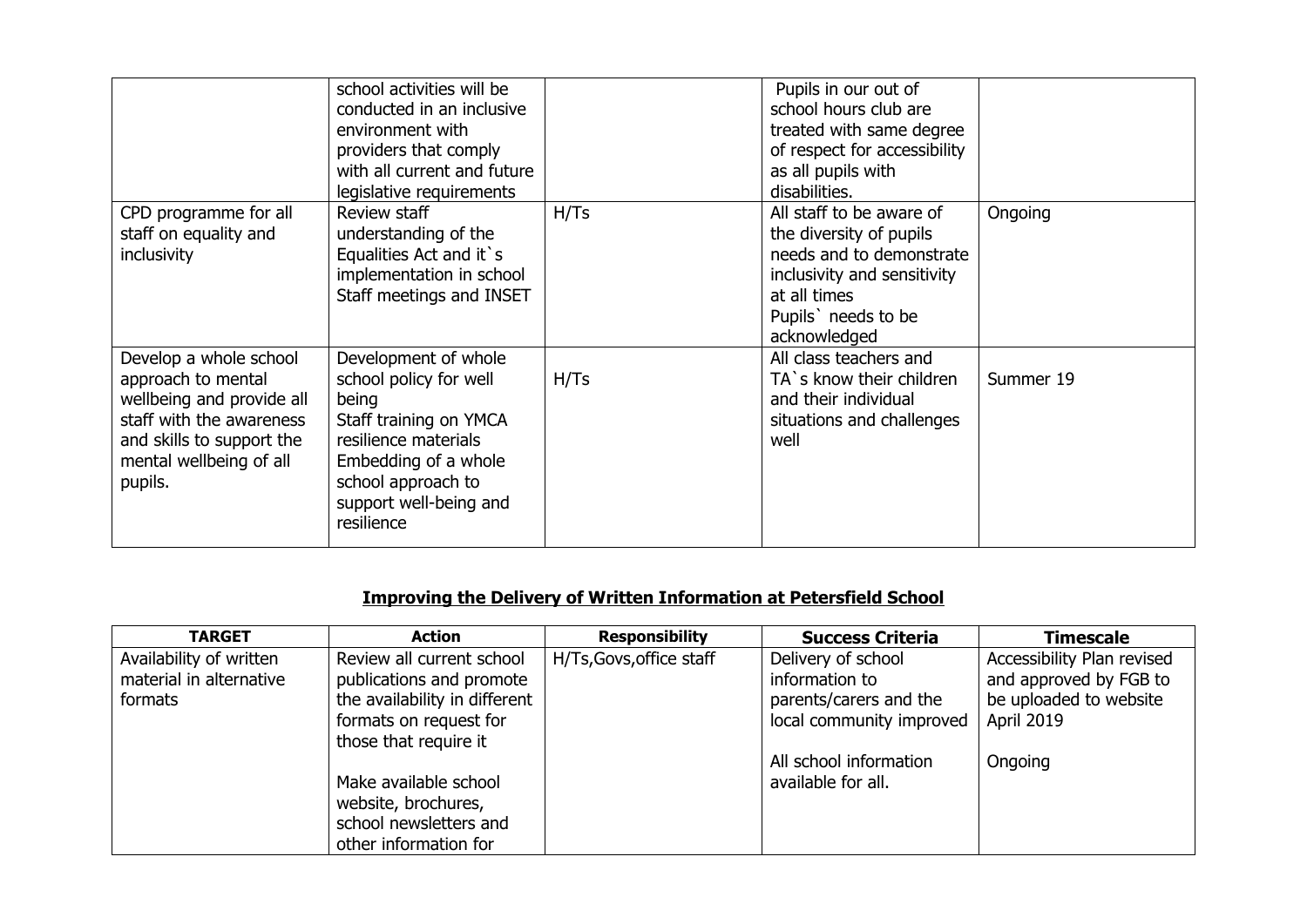|                                                                                                                                                                          | school activities will be<br>conducted in an inclusive<br>environment with<br>providers that comply<br>with all current and future<br>legislative requirements                                  |      | Pupils in our out of<br>school hours club are<br>treated with same degree<br>of respect for accessibility<br>as all pupils with<br>disabilities.                      |           |
|--------------------------------------------------------------------------------------------------------------------------------------------------------------------------|-------------------------------------------------------------------------------------------------------------------------------------------------------------------------------------------------|------|-----------------------------------------------------------------------------------------------------------------------------------------------------------------------|-----------|
| CPD programme for all<br>staff on equality and<br>inclusivity                                                                                                            | Review staff<br>understanding of the<br>Equalities Act and it's<br>implementation in school<br>Staff meetings and INSET                                                                         | H/Ts | All staff to be aware of<br>the diversity of pupils<br>needs and to demonstrate<br>inclusivity and sensitivity<br>at all times<br>Pupils' needs to be<br>acknowledged | Ongoing   |
| Develop a whole school<br>approach to mental<br>wellbeing and provide all<br>staff with the awareness<br>and skills to support the<br>mental wellbeing of all<br>pupils. | Development of whole<br>school policy for well<br>being<br>Staff training on YMCA<br>resilience materials<br>Embedding of a whole<br>school approach to<br>support well-being and<br>resilience | H/Ts | All class teachers and<br>TA's know their children<br>and their individual<br>situations and challenges<br>well                                                       | Summer 19 |

# **Improving the Delivery of Written Information at Petersfield School**

| <b>TARGET</b>           | <b>Action</b>                 | <b>Responsibility</b>    | <b>Success Criteria</b>  | <b>Timescale</b>           |
|-------------------------|-------------------------------|--------------------------|--------------------------|----------------------------|
| Availability of written | Review all current school     | H/Ts, Govs, office staff | Delivery of school       | Accessibility Plan revised |
| material in alternative | publications and promote      |                          | information to           | and approved by FGB to     |
| formats                 | the availability in different |                          | parents/carers and the   | be uploaded to website     |
|                         | formats on request for        |                          | local community improved | April 2019                 |
|                         | those that require it         |                          |                          |                            |
|                         |                               |                          | All school information   | Ongoing                    |
|                         | Make available school         |                          | available for all.       |                            |
|                         | website, brochures,           |                          |                          |                            |
|                         | school newsletters and        |                          |                          |                            |
|                         | other information for         |                          |                          |                            |